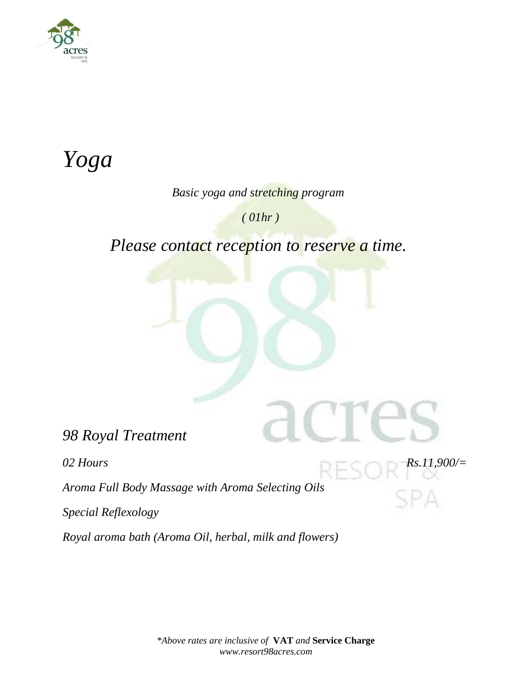

# *Yoga*

#### *Basic yoga and stretching program*

 *( 01hr )*

 *Please contact reception to reserve a time.*

*98 Royal Treatment*

*02 Hours Rs.11,900/=*

*Aroma Full Body Massage with Aroma Selecting Oils*

*Special Reflexology*

*Royal aroma bath (Aroma Oil, herbal, milk and flowers)*

*\*Above rates are inclusive of* **VAT** *and* **Service Charge** *www.resort98acres.com*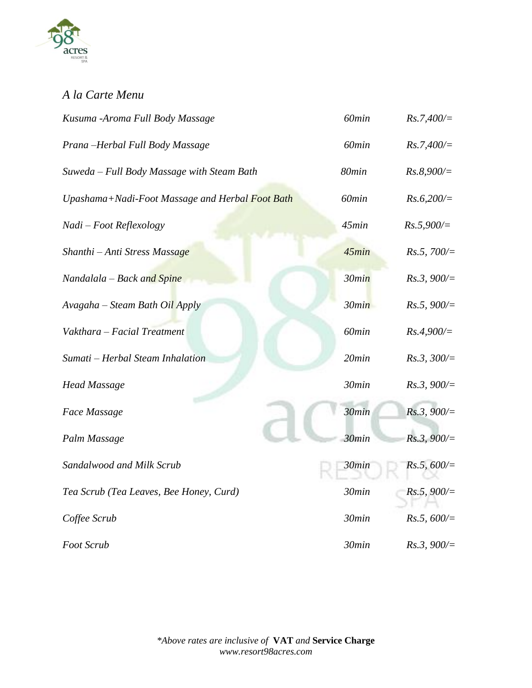

### *A la Carte Menu*

| Kusuma -Aroma Full Body Massage                 | 60min             | $Rs.7,400/\equiv$ |
|-------------------------------------------------|-------------------|-------------------|
| Prana-Herbal Full Body Massage                  | 60 <sub>min</sub> | $Rs.7,400/\equiv$ |
| Suweda - Full Body Massage with Steam Bath      | 80min             | $Rs.8,900/=$      |
| Upashama+Nadi-Foot Massage and Herbal Foot Bath | 60min             | $Rs.6,200/=$      |
| Nadi - Foot Reflexology                         | 45min             | $Rs.5,900/=$      |
| Shanthi - Anti Stress Massage                   | 45min             | Rs.5,700/         |
| Nandalala – Back and Spine                      | 30min             | Rs.3, 900/        |
| Avagaha – Steam Bath Oil Apply                  | 30min             | Rs.5, 900/        |
| Vakthara - Facial Treatment                     | 60min             | $Rs.4,900/=$      |
| Sumati - Herbal Steam Inhalation                | $20$ min          | $Rs.3, 300/=$     |
| <b>Head Massage</b>                             | 30min             | Rs.3, 900/        |
| Face Massage                                    | 30min             | Rs.3, 900/        |
| Palm Massage                                    | 30min             | Rs.3, 900/        |
| Sandalwood and Milk Scrub                       | 30min             | Rs.5, 600/        |
| Tea Scrub (Tea Leaves, Bee Honey, Curd)         | 30min             | Rs.5, 900/        |
| Coffee Scrub                                    | 30min             | Rs.5, 600/        |
| Foot Scrub                                      | 30min             | Rs.3, 900/        |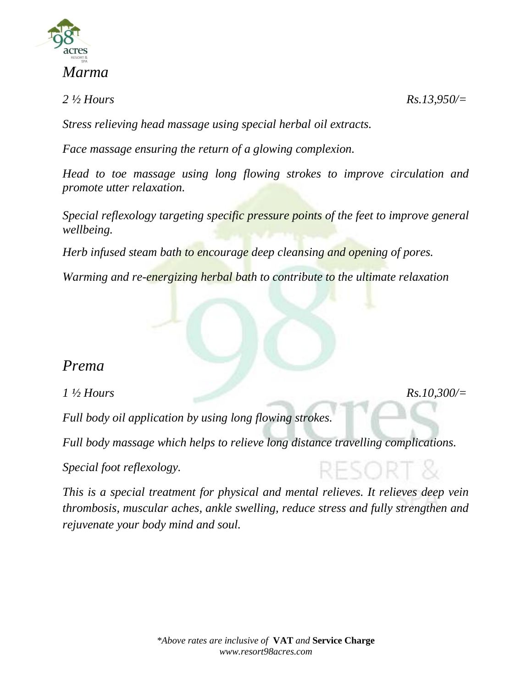

#### *Marma*

*2 ½ Hours Rs.13,950/=*

*Stress relieving head massage using special herbal oil extracts.*

*Face massage ensuring the return of a glowing complexion.*

*Head to toe massage using long flowing strokes to improve circulation and promote utter relaxation.*

*Special reflexology targeting specific pressure points of the feet to improve general wellbeing.*

*Herb infused steam bath to encourage deep cleansing and opening of pores.*

*Warming and re-energizing herbal bath to contribute to the ultimate relaxation*

#### *Prema*

*1 ½ Hours Rs.10,300/=*

*Full body oil application by using long flowing strokes.*

*Full body massage which helps to relieve long distance travelling complications.*

*Special foot reflexology.*

*This is a special treatment for physical and mental relieves. It relieves deep vein thrombosis, muscular aches, ankle swelling, reduce stress and fully strengthen and rejuvenate your body mind and soul.*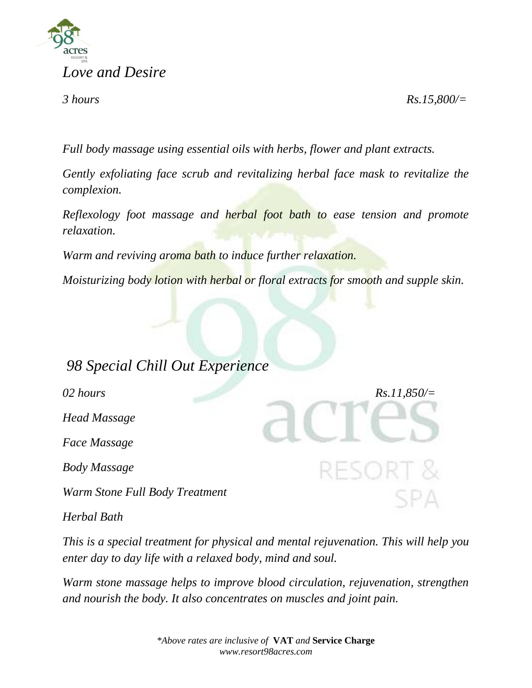

*3 hours Rs.15,800/=*

*Full body massage using essential oils with herbs, flower and plant extracts.*

*Gently exfoliating face scrub and revitalizing herbal face mask to revitalize the complexion.*

*Reflexology foot massage and herbal foot bath to ease tension and promote relaxation.*

*Warm and reviving aroma bath to induce further relaxation.*

*Moisturizing body lotion with herbal or floral extracts for smooth and supple skin.*

# *98 Special Chill Out Experience*

*02 hours Rs.11,850/=*

*Head Massage*

*Face Massage*

*Body Massage*

*Warm Stone Full Body Treatment*

*Herbal Bath*

*This is a special treatment for physical and mental rejuvenation. This will help you enter day to day life with a relaxed body, mind and soul.*

*Warm stone massage helps to improve blood circulation, rejuvenation, strengthen and nourish the body. It also concentrates on muscles and joint pain.*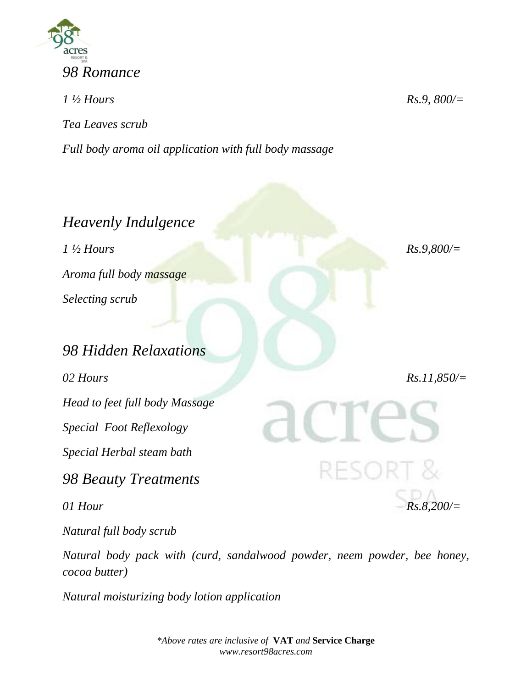

*1 ½ Hours Rs.9, 800/= Tea Leaves scrub Full body aroma oil application with full body massage*

*Heavenly Indulgence 1 ½ Hours Rs.9,800/= Aroma full body massage Selecting scrub 98 Hidden Relaxations 02 Hours Rs.11,850/= Head to feet full body Massage Special Foot Reflexology Special Herbal steam bath 98 Beauty Treatments 01 Hour Rs.8,200/=*

*Natural full body scrub*

*Natural body pack with (curd, sandalwood powder, neem powder, bee honey, cocoa butter)*

*Natural moisturizing body lotion application*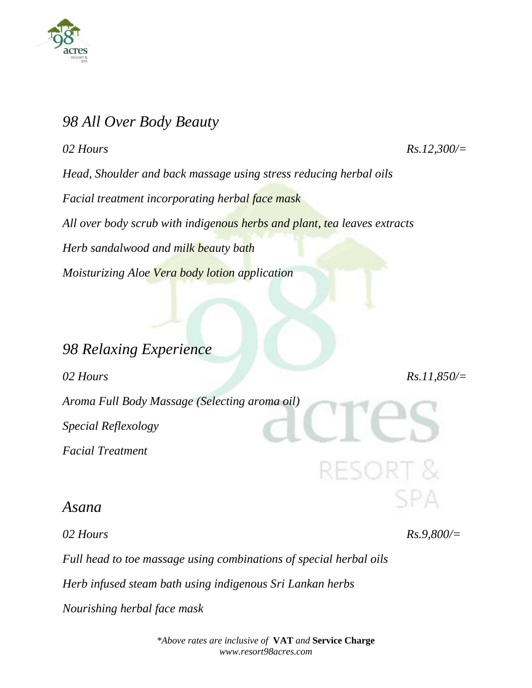

## *98 All Over Body Beauty*

*02 Hours Rs.12,300/= Head, Shoulder and back massage using stress reducing herbal oils Facial treatment incorporating herbal face mask All over body scrub with indigenous herbs and plant, tea leaves extracts Herb sandalwood and milk beauty bath*

*Moisturizing Aloe Vera body lotion application*

*98 Relaxing Experience 02 Hours Rs.11,850/= Aroma Full Body Massage (Selecting aroma oil) Special Reflexology Facial Treatment*

*Asana*

*02 Hours Rs.9,800/=*

*Full head to toe massage using combinations of special herbal oils*

*Herb infused steam bath using indigenous Sri Lankan herbs*

*Nourishing herbal face mask*

*\*Above rates are inclusive of* **VAT** *and* **Service Charge** *www.resort98acres.com*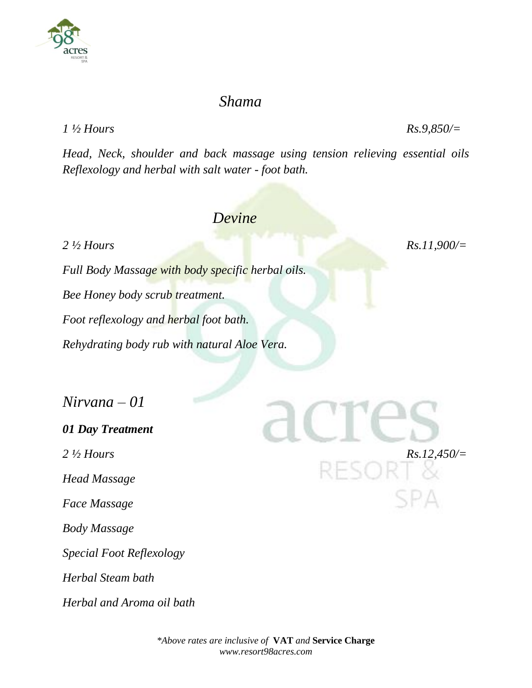#### *Shama*

*1 ½ Hours Rs.9,850/=*

*Head, Neck, shoulder and back massage using tension relieving essential oils Reflexology and herbal with salt water - foot bath.*

#### *Devine*

*2 ½ Hours Rs.11,900/=*

*Full Body Massage with body specific herbal oils. Bee Honey body scrub treatment. Foot reflexology and herbal foot bath. Rehydrating body rub with natural Aloe Vera.*

*Nirvana – 01*

*01 Day Treatment Head Massage Face Massage Body Massage Special Foot Reflexology Herbal Steam bath Herbal and Aroma oil bath*



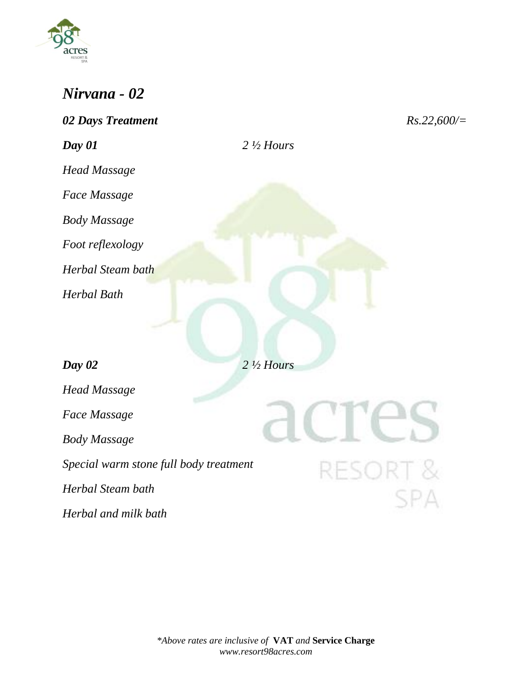

# *Nirvana - 02*

| 02 Days Treatment                      |                      | $Rs.22,600/\equiv$  |
|----------------------------------------|----------------------|---------------------|
| Day 01                                 | $2\frac{1}{2}$ Hours |                     |
| <b>Head Massage</b>                    |                      |                     |
| Face Massage                           |                      |                     |
| <b>Body Massage</b>                    |                      |                     |
| Foot reflexology                       |                      |                     |
| Herbal Steam bath                      |                      |                     |
| <b>Herbal Bath</b>                     |                      |                     |
|                                        |                      |                     |
|                                        |                      |                     |
| Day 02                                 | $2\frac{1}{2}$ Hours |                     |
| <b>Head Massage</b>                    |                      |                     |
| <b>Face Massage</b>                    |                      |                     |
| <b>Body Massage</b>                    |                      |                     |
| Special warm stone full body treatment |                      | <b>RESORT &amp;</b> |
| Herbal Steam bath                      |                      |                     |
| Herbal and milk bath                   |                      |                     |